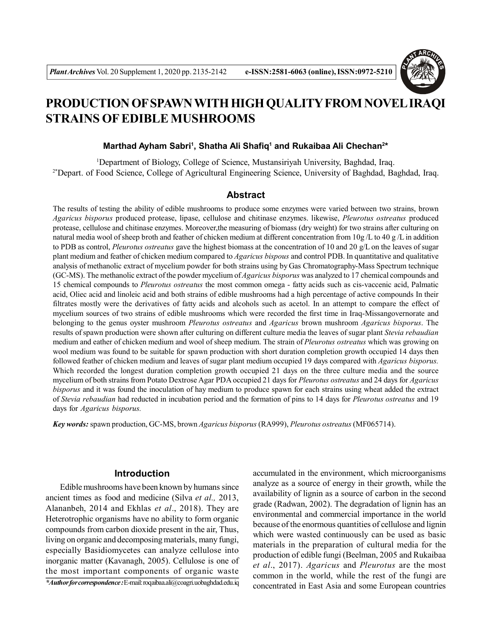

# **PRODUCTION OF SPAWN WITH HIGH QUALITY FROM NOVEL IRAQI STRAINS OF EDIBLE MUSHROOMS**

#### **Marthad Ayham Sabri<sup>1</sup>, Shatha Ali Shafiq<sup>1</sup> and Rukaibaa Ali Chechan<sup>2\*</sup>**

<sup>1</sup>Department of Biology, College of Science, Mustansiriyah University, Baghdad, Iraq. <sup>2\*</sup>Depart. of Food Science, College of Agricultural Engineering Science, University of Baghdad, Baghdad, Iraq.

#### **Abstract**

The results of testing the ability of edible mushrooms to produce some enzymes were varied between two strains, brown *Agaricus bisporus* produced protease, lipase, cellulose and chitinase enzymes. likewise, *Pleurotus ostreatus* produced protease, cellulose and chitinase enzymes. Moreover,the measuring of biomass (dry weight) for two strains after culturing on natural media wool of sheep broth and feather of chicken medium at different concentration from  $10g/L$  to  $40g/L$  in addition to PDB as control, *Pleurotus ostreatus* gave the highest biomass at the concentration of 10 and 20 g/L on the leaves of sugar plant medium and feather of chicken medium compared to *Agaricus bispous* and control PDB. In quantitative and qualitative analysis of methanolic extract of mycelium powder for both strains using by Gas Chromatography-Mass Spectrum technique (GC-MS). The methanolic extract of the powder mycelium of *Agaricus bisporus* was analyzed to 17 chemical compounds and 15 chemical compounds to *Pleurotus ostreatus* the most common omega - fatty acids such as cis-vaccenic acid, Palmatic acid, Oliec acid and linoleic acid and both strains of edible mushrooms had a high percentage of active compounds In their filtrates mostly were the derivatives of fatty acids and alcohols such as acetol. In an attempt to compare the effect of mycelium sources of two strains of edible mushrooms which were recorded the first time in Iraq-Missangovernorate and belonging to the genus oyster mushroom *Pleurotus ostreatus* and *Agaricus* brown mushroom *Agaricus bisporus*. The results of spawn production were shown after culturing on different culture media the leaves of sugar plant *Stevia rebaudian* medium and eather of chicken medium and wool of sheep medium. The strain of *Pleurotus ostreatus* which was growing on wool medium was found to be suitable for spawn production with short duration completion growth occupied 14 days then followed feather of chicken medium and leaves of sugar plant medium occupied 19 days compared with *Agaricus bisporus.* Which recorded the longest duration completion growth occupied 21 days on the three culture media and the source mycelium of both strains from Potato Dextrose Agar PDA occupied 21 days for *Pleurotus ostreatus* and 24 days for *Agaricus bisporus* and it was found the inoculation of hay medium to produce spawn for each strains using wheat added the extract of *Stevia rebaudian* had reducted in incubation period and the formation of pins to 14 days for *Pleurotus ostreatus* and 19 days for *Agaricus bisporus.*

*Key words:* spawn production, GC-MS, brown *Agaricus bisporus* (RA999), *Pleurotus ostreatus* (MF065714).

## **Introduction**

Edible mushrooms have been known by humans since ancient times as food and medicine (Silva *et al.,* 2013, Alananbeh, 2014 and Ekhlas *et al*., 2018). They are Heterotrophic organisms have no ability to form organic compounds from carbon dioxide present in the air, Thus, living on organic and decomposing materials, many fungi, especially Basidiomycetes can analyze cellulose into inorganic matter (Kavanagh, 2005). Cellulose is one of the most important components of organic waste

*\*Author for correspondence :* E-mail: roqaibaa.ali@coagri.uobaghdad.edu.iq

accumulated in the environment, which microorganisms analyze as a source of energy in their growth, while the availability of lignin as a source of carbon in the second grade (Radwan, 2002). The degradation of lignin has an environmental and commercial importance in the world because of the enormous quantities of cellulose and lignin which were wasted continuously can be used as basic materials in the preparation of cultural media for the production of edible fungi (Beelman, 2005 and Rukaibaa *et al*., 2017). *Agaricus* and *Pleurotus* are the most common in the world, while the rest of the fungi are concentrated in East Asia and some European countries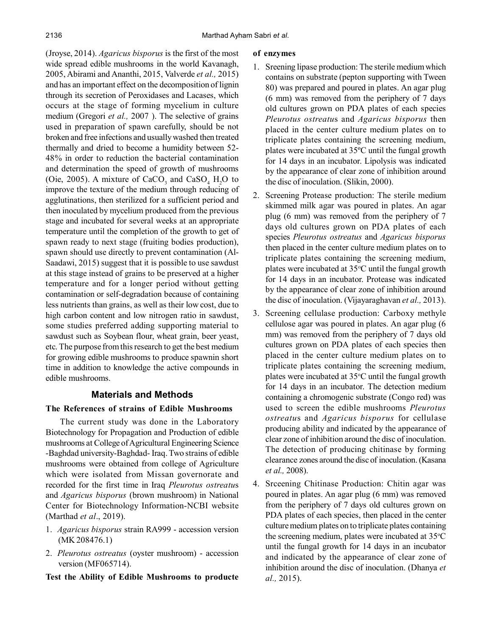(Jroyse, 2014). *Agaricus bisporus* is the first of the most wide spread edible mushrooms in the world Kavanagh, 2005, Abirami and Ananthi, 2015, Valverde *et al.,* 2015) and has an important effect on the decomposition of lignin through its secretion of Peroxidases and Lacases, which occurs at the stage of forming mycelium in culture medium (Gregori *et al.,* 2007 ). The selective of grains used in preparation of spawn carefully, should be not broken and free infections and usually washed then treated thermally and dried to become a humidity between 52- 48% in order to reduction the bacterial contamination and determination the speed of growth of mushrooms (Oie, 2005). A mixture of CaCO<sub>3</sub> and CaSO<sub>4</sub>  $H_2O$  to improve the texture of the medium through reducing of agglutinations, then sterilized for a sufficient period and then inoculated by mycelium produced from the previous stage and incubated for several weeks at an appropriate temperature until the completion of the growth to get of spawn ready to next stage (fruiting bodies production), spawn should use directly to prevent contamination (Al-Saadawi, 2015) suggest that it is possible to use sawdust at this stage instead of grains to be preserved at a higher temperature and for a longer period without getting contamination or self-degradation because of containing less nutrients than grains, as well as their low cost, due to high carbon content and low nitrogen ratio in sawdust, some studies preferred adding supporting material to sawdust such as Soybean flour, wheat grain, beer yeast, etc. The purpose from this research to get the best medium for growing edible mushrooms to produce spawnin short time in addition to knowledge the active compounds in edible mushrooms.

# **Materials and Methods**

# **The References of strains of Edible Mushrooms**

The current study was done in the Laboratory Biotechnology for Propagation and Production of edible mushrooms at College of Agricultural Engineering Science -Baghdad university-Baghdad- Iraq. Two strains of edible mushrooms were obtained from college of Agriculture which were isolated from Missan governorate and recorded for the first time in Iraq *Pleurotus ostreatu*s and *Agaricus bisporus* (brown mushroom) in National Center for Biotechnology Information-NCBI website (Marthad *et al*., 2019).

- 1. *Agaricus bisporus* strain RA999 accession version (MK 208476.1)
- 2. *Pleurotus ostreatus* (oyster mushroom) accession version (MF065714).

## **Test the Ability of Edible Mushrooms to producte**

#### **of enzymes**

- 1. Sreening lipase production: The sterile medium which contains on substrate (pepton supporting with Tween 80) was prepared and poured in plates. An agar plug (6 mm) was removed from the periphery of 7 days old cultures grown on PDA plates of each species *Pleurotus ostreatu*s and *Agaricus bisporus* then placed in the center culture medium plates on to triplicate plates containing the screening medium, plates were incubated at 35ºC until the fungal growth for 14 days in an incubator. Lipolysis was indicated by the appearance of clear zone of inhibition around the disc of inoculation. (Slikin, 2000).
- 2. Screening Protease production: The sterile medium skimmed milk agar was poured in plates. An agar plug (6 mm) was removed from the periphery of 7 days old cultures grown on PDA plates of each species *Pleurotus ostreatus* and *Agaricus bisporus* then placed in the center culture medium plates on to triplicate plates containing the screening medium, plates were incubated at  $35^{\circ}$ C until the fungal growth for 14 days in an incubator. Protease was indicated by the appearance of clear zone of inhibition around the disc of inoculation. (Vijayaraghavan *et al.,* 2013).
- 3. Screening cellulase production: Carboxy methyle cellulose agar was poured in plates. An agar plug (6 mm) was removed from the periphery of 7 days old cultures grown on PDA plates of each species then placed in the center culture medium plates on to triplicate plates containing the screening medium, plates were incubated at  $35^{\circ}$ C until the fungal growth for 14 days in an incubator. The detection medium containing a chromogenic substrate (Congo red) was used to screen the edible mushrooms *Pleurotus ostreatu*s and *Agaricus bisporus* for cellulase producing ability and indicated by the appearance of clear zone of inhibition around the disc of inoculation. The detection of producing chitinase by forming clearance zones around the disc of inoculation. (Kasana *et al.,* 2008).
- 4. Srceening Chitinase Production: Chitin agar was poured in plates. An agar plug (6 mm) was removed from the periphery of 7 days old cultures grown on PDA plates of each species, then placed in the center culture medium plates on to triplicate plates containing the screening medium, plates were incubated at  $35^{\circ}$ C until the fungal growth for 14 days in an incubator and indicated by the appearance of clear zone of inhibition around the disc of inoculation. (Dhanya *et al.,* 2015).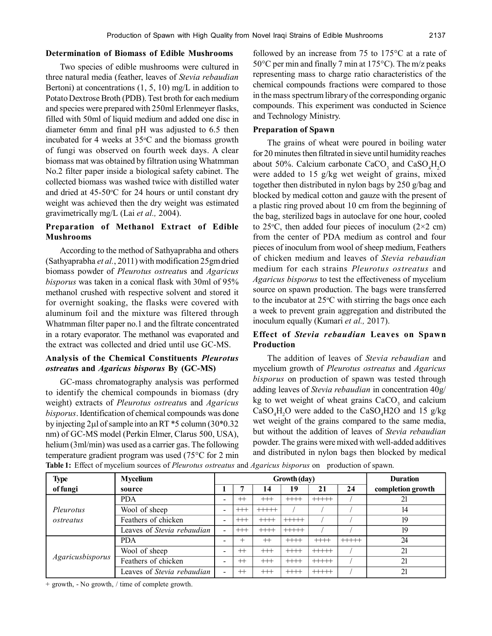#### **Determination of Biomass of Edible Mushrooms**

Two species of edible mushrooms were cultured in three natural media (feather, leaves of *Stevia rebaudian* Bertoni) at concentrations  $(1, 5, 10)$  mg/L in addition to Potato Dextrose Broth (PDB). Test broth for each medium and species were prepared with 250ml Erlenmeyer flasks, filled with 50ml of liquid medium and added one disc in diameter 6mm and final pH was adjusted to 6.5 then incubated for 4 weeks at  $35^{\circ}$ C and the biomass growth of fungi was observed on fourth week days. A clear biomass mat was obtained by filtration using Whatmman No.2 filter paper inside a biological safety cabinet. The collected biomass was washed twice with distilled water and dried at  $45-50$ °C for 24 hours or until constant dry weight was achieved then the dry weight was estimated gravimetrically mg/L (Lai *et al.,* 2004).

## **Preparation of Methanol Extract of Edible Mushrooms**

According to the method of Sathyaprabha and others (Sathyaprabha *et al.*, 2011) with modification 25gm dried biomass powder of *Pleurotus ostreatu*s and *Agaricus bisporus* was taken in a conical flask with 30ml of 95% methanol crushed with respective solvent and stored it for overnight soaking, the flasks were covered with aluminum foil and the mixture was filtered through Whatmman filter paper no.1 and the filtrate concentrated in a rotary evaporator. The methanol was evaporated and the extract was collected and dried until use GC-MS.

## **Analysis of the Chemical Constituents** *Pleurotus ostreatu***s and** *Agaricus bisporus* **By (GC-MS)**

GC-mass chromatography analysis was performed to identify the chemical compounds in biomass (dry weight) extracts of *Pleurotus ostreatu*s and *Agaricus bisporus*. Identification of chemical compounds was done by injecting  $2\mu$ l of sample into an RT \*5 column (30\*0.32) nm) of GC-MS model (Perkin Elmer, Clarus 500, USA), helium (3ml/min) was used as a carrier gas. The following temperature gradient program was used (75°C for 2 min followed by an increase from 75 to 175°C at a rate of 50°C per min and finally 7 min at 175°C). The m/z peaks representing mass to charge ratio characteristics of the chemical compounds fractions were compared to those in the mass spectrum library of the corresponding organic compounds. This experiment was conducted in Science and Technology Ministry.

#### **Preparation of Spawn**

The grains of wheat were poured in boiling water for 20 minutes then filtrated in sieve until humidity reaches about 50%. Calcium carbonate  $CaCO<sub>3</sub>$  and  $CaSO<sub>4</sub>H<sub>2</sub>O$ were added to 15 g/kg wet weight of grains, mixed together then distributed in nylon bags by 250 g/bag and blocked by medical cotton and gauze with the present of a plastic ring proved about 10 cm from the beginning of the bag, sterilized bags in autoclave for one hour, cooled to 25 $\degree$ C, then added four pieces of inoculum (2×2 cm) from the center of PDA medium as control and four pieces of inoculum from wool of sheep medium, Feathers of chicken medium and leaves of *Stevia rebaudian* medium for each strains *Pleurotus ostreatus* and *Agaricus bisporus* to test the effectiveness of mycelium source on spawn production. The bags were transferred to the incubator at  $25^{\circ}$ C with stirring the bags once each a week to prevent grain aggregation and distributed the inoculum equally (Kumari *et al.,* 2017).

#### **Effect of** *Stevia rebaudian* **Leaves on Spawn Production**

The addition of leaves of *Stevia rebaudian* and mycelium growth of *Pleurotus ostreatus* and *Agaricus bisporus* on production of spawn was tested through adding leaves of *Stevia rebaudian* in concentration 40g/ kg to wet weight of wheat grains  $CaCO<sub>3</sub>$  and calcium  $CaSO<sub>4</sub>H<sub>2</sub>O$  were added to the  $CaSO<sub>4</sub>H<sub>2</sub>O$  and 15 g/kg wet weight of the grains compared to the same media, but without the addition of leaves of *Stevia rebaudian* powder. The grains were mixed with well-added additives and distributed in nylon bags then blocked by medical

| <b>Type</b>      | <b>Mycelium</b>            |                          |         | Growth (day) | <b>Duration</b> |           |         |                   |
|------------------|----------------------------|--------------------------|---------|--------------|-----------------|-----------|---------|-------------------|
| of fungi         | source                     |                          | д       | 14           | 19              | 21        | 24      | completion growth |
|                  | <b>PDA</b>                 | $\overline{\phantom{0}}$ | $^{+}$  | $++$         | $++$            | $+++++$   |         | 21                |
| Pleurotus        | Wool of sheep              | $\overline{\phantom{a}}$ | $++$    | $+ + + + +$  |                 |           |         | 14                |
| ostreatus        | Feathers of chicken        |                          | $++$    | $++++$       | $+++++$         |           |         | 19                |
|                  | Leaves of Stevia rebaudian | $\overline{\phantom{0}}$ | $++$    | $+\text{++}$ | $+ + + + +$     |           |         | 19                |
|                  | <b>PDA</b>                 |                          | $^{+}$  | $^{++}$      | $++$            | $+\$ $+\$ | $+++++$ | 24                |
|                  | Wool of sheep              | $\overline{\phantom{0}}$ | $^{+}$  | $++$         | $++$            | $+++++$   |         | 21                |
| Agaricusbisporus | Feathers of chicken        | -                        | $^{++}$ | $++$         | $++$            | $+++++$   |         | 21                |
|                  | Leaves of Stevia rebaudian | -                        | $^{+}$  | $++$         | $++++$          | $+++++$   |         | 21                |

**Table 1:** Effect of mycelium sources of *Pleurotus ostreatus* and *Agaricus bisporus* on production of spawn.

+ growth, - No growth, / time of complete growth.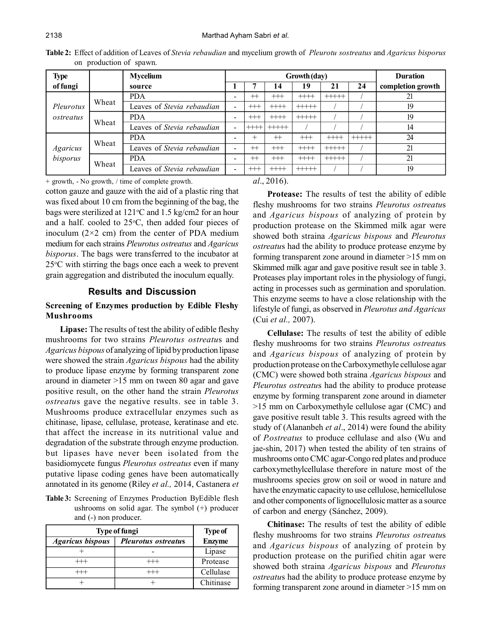| <b>Type</b>                 |       | <b>Mycelium</b>            | Growth (day)             |         |              |             |              |         | <b>Duration</b>   |
|-----------------------------|-------|----------------------------|--------------------------|---------|--------------|-------------|--------------|---------|-------------------|
| of fungi                    |       | source                     |                          |         | 4            | 19          | 21           | 24      | completion growth |
|                             |       | <b>PDA</b>                 |                          | $^{+}$  | $++$         | $++++$      | $+++++$      |         | 21                |
| Pleurotus<br>ostreatus      | Wheat | Leaves of Stevia rebaudian | $\overline{\phantom{0}}$ | $^{++}$ | $+\!+\!+\!$  | $+\!+\!+\!$ |              |         | 19                |
|                             | Wheat | <b>PDA</b>                 |                          | $^{++}$ | $+\text{++}$ | $+++++$     |              |         | 19                |
|                             |       | Leaves of Stevia rebaudian | $\overline{\phantom{a}}$ |         | $++++$       |             |              |         | 14                |
| <b>Agaricus</b><br>bisporus | Wheat | <b>PDA</b>                 | -                        |         | $^{++}$      | $++$        | $+\!+\!+\!$  | $+++++$ | 24                |
|                             |       | Leaves of Stevia rebaudian |                          | $^+$    | $^{++}$      | $++$        | $+\text{++}$ |         | 21                |
|                             | Wheat | <b>PDA</b>                 |                          | $^+$    | $++$         | $++$        | $+++++$      |         | 21                |
|                             |       | Leaves of Stevia rebaudian | $\overline{\phantom{0}}$ | $++$    | $+\cdots$    | $+++++$     |              |         | 19                |

**Table 2:** Effect of addition of Leaves of *Stevia rebaudian* and mycelium growth of *Pleurotu sostreatus* and *Agaricus bisporus* on production of spawn.

+ growth, - No growth, / time of complete growth.

cotton gauze and gauze with the aid of a plastic ring that was fixed about 10 cm from the beginning of the bag, the bags were sterilized at  $121\textdegree C$  and  $1.5$  kg/cm2 for an hour and a half. cooled to  $25^{\circ}$ C, then added four pieces of inoculum  $(2\times2$  cm) from the center of PDA medium medium for each strains *Pleurotus ostreatus* and *Agaricus bisporus*. The bags were transferred to the incubator at  $25^{\circ}$ C with stirring the bags once each a week to prevent grain aggregation and distributed the inoculum equally.

#### **Results and Discussion**

#### **Screening of Enzymes production by Edible Fleshy Mushrooms**

**Lipase:** The results of test the ability of edible fleshy mushrooms for two strains *Pleurotus ostreatu*s and *Agaricus bispous* of analyzing of lipid by production lipase were showed the strain *Agaricus bispous* had the ability to produce lipase enzyme by forming transparent zone around in diameter >15 mm on tween 80 agar and gave positive result, on the other hand the strain *Pleurotus ostreatu*s gave the negative results. see in table 3. Mushrooms produce extracellular enzymes such as chitinase, lipase, cellulase, protease, keratinase and etc. that affect the increase in its nutritional value and degradation of the substrate through enzyme production. but lipases have never been isolated from the basidiomycete fungus *Pleurotus ostreatus* even if many putative lipase coding genes have been automatically annotated in its genome (Riley *et al.,* 2014, Castanera *et*

**Table 3:** Screening of Enzymes Production ByEdible flesh ushrooms on solid agar. The symbol (+) producer and (-) non producer.

| <b>Type of fungi</b>    | <b>Type of</b>             |               |
|-------------------------|----------------------------|---------------|
| <b>Agaricus bispous</b> | <b>Pleurotus</b> ostreatus | <b>Enzyme</b> |
|                         |                            | Lipase        |
|                         |                            | Protease      |
|                         |                            | Cellulase     |
|                         |                            | Chitinase     |

*al*., 2016).

**Protease:** The results of test the ability of edible fleshy mushrooms for two strains *Pleurotus ostreatu*s and *Agaricus bispous* of analyzing of protein by production protease on the Skimmed milk agar were showed both straina *Agaricus bispous* and *Pleurotus ostreatu*s had the ability to produce protease enzyme by forming transparent zone around in diameter >15 mm on Skimmed milk agar and gave positive result see in table 3. Proteases play important roles in the physiology of fungi, acting in processes such as germination and sporulation. This enzyme seems to have a close relationship with the lifestyle of fungi, as observed in *Pleurotus and Agaricus* (Cui *et al.,* 2007).

**Cellulase:** The results of test the ability of edible fleshy mushrooms for two strains *Pleurotus ostreatu*s and *Agaricus bispous* of analyzing of protein by production protease on the Carboxymethyle cellulose agar (CMC) were showed both straina *Agaricus bispous* and *Pleurotus ostreatu*s had the ability to produce protease enzyme by forming transparent zone around in diameter >15 mm on Carboxymethyle cellulose agar (CMC) and gave positive result table 3. This results agreed with the study of (Alananbeh *et al*., 2014) were found the ability of *P.ostreatus* to produce cellulase and also (Wu and jae-shin, 2017) when tested the ability of ten strains of mushrooms onto CMC agar-Congo red plates and produce carboxymethylcellulase therefore in nature most of the mushrooms species grow on soil or wood in nature and have the enzymatic capacity to use cellulose, hemicellulose and other components of lignocellulosic matter as a source of carbon and energy (Sánchez, 2009).

**Chitinase:** The results of test the ability of edible fleshy mushrooms for two strains *Pleurotus ostreatu*s and *Agaricus bispous* of analyzing of protein by production protease on the purified chitin agar were showed both straina *Agaricus bispous* and *Pleurotus ostreatu*s had the ability to produce protease enzyme by forming transparent zone around in diameter >15 mm on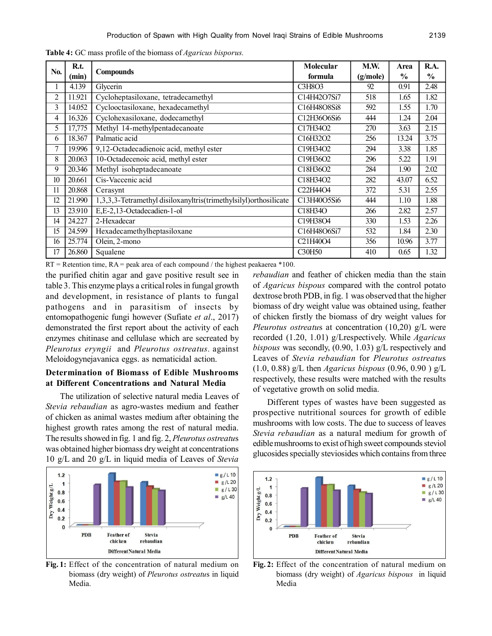|                  | R.t.   |                                                                   |                                                | M.W.     | Area          | R.A.          |
|------------------|--------|-------------------------------------------------------------------|------------------------------------------------|----------|---------------|---------------|
| N <sub>0</sub> . | (min)  | <b>Compounds</b>                                                  | formula                                        | (g/mole) | $\frac{6}{9}$ | $\frac{6}{6}$ |
| 1                | 4.139  | Glycerin                                                          | C3H8O3                                         | 92       | 0.91          | 2.48          |
| $\overline{c}$   | 11.921 | Cycloheptasiloxane, tetradecamethyl                               | C14H42O7Si7                                    | 518      | 1.65          | 1.82          |
| 3                | 14.052 | Cyclooctasiloxane, hexadecamethyl                                 | C16H48O8Si8                                    | 592      | 1.55          | 1.70          |
| 4                | 16.326 | Cyclohexasiloxane, dodecamethyl                                   | C12H36O6Si6                                    | 444      | 1.24          | 2.04          |
| 5                | 17,775 | Methyl 14-methylpentadecanoate                                    | C17H34O2                                       | 270      | 3.63          | 2.15          |
| 6                | 18.367 | Palmatic acid                                                     | C16H32O2                                       | 256      | 13.24         | 3.75          |
| 7                | 19.996 | 9,12-Octadecadienoic acid, methyl ester                           | C19H34O2                                       | 294      | 3.38          | 1.85          |
| 8                | 20.063 | 10-Octadecenoic acid, methyl ester                                | C19H36O2                                       | 296      | 5.22          | 1.91          |
| 9                | 20.346 | Methyl isoheptadecanoate                                          | C18H36O2                                       | 284      | 1.90          | 2.02          |
| 10               | 20.661 | Cis-Vaccenic acid                                                 | C18H34O2                                       | 282      | 43.07         | 6.52          |
| 11               | 20.868 | Cerasynt                                                          | C <sub>22</sub> H <sub>44</sub> O <sub>4</sub> | 372      | 5.31          | 2.55          |
| 12               | 21.990 | 1,3,3,3-Tetramethyl disiloxanyltris(trimethylsilyl) orthosilicate | C13H40O5Si6                                    | 444      | 1.10          | 1.88          |
| 13               | 23.910 | E,E-2,13-Octadecadien-1-ol                                        | C18H34O                                        | 266      | 2.82          | 2.57          |
| 14               | 24.227 | 2-Hexadecar                                                       | C19H38O4                                       | 330      | 1.53          | 2.26          |
| 15               | 24.599 | Hexadecamethylheptasiloxane                                       | C16H48O6Si7                                    | 532      | 1.84          | 2.30          |
| 16               | 25.774 | Olein, 2-mono                                                     | C <sub>2</sub> 1H <sub>40</sub> O <sub>4</sub> | 356      | 10.96         | 3.77          |
| 17               | 26.860 | Squalene                                                          | C30H50                                         | 410      | 0.65          | 1.32          |

**Table 4:** GC mass profile of the biomass of *Agaricus bisporus.*

 $RT =$  Retention time,  $RA =$  peak area of each compound / the highest peakaerea \*100.

the purified chitin agar and gave positive result see in table 3. This enzyme plays a critical roles in fungal growth and development, in resistance of plants to fungal pathogens and in parasitism of insects by entomopathogenic fungi however (Sufiate *et al*., 2017) demonstrated the first report about the activity of each enzymes chitinase and cellulase which are secreated by *Pleurotus eryngii* and *Pleurotus ostreatus.* against Meloidogynejavanica eggs. as nematicidal action.

# **Determination of Biomass of Edible Mushrooms at Different Concentrations and Natural Media**

The utilization of selective natural media Leaves of *Stevia rebaudian* as agro-wastes medium and feather of chicken as animal wastes medium after obtaining the highest growth rates among the rest of natural media. The results showed in fig. 1 and fig. 2, *Pleurotus ostreatu*s was obtained higher biomass dry weight at concentrations 10 g/L and 20 g/L in liquid media of Leaves of *Stevia*



**Fig. 1:** Effect of the concentration of natural medium on biomass (dry weight) of *Pleurotus ostreatu*s in liquid Media.

*rebaudian* and feather of chicken media than the stain of *Agaricus bispous* compared with the control potato dextrose broth PDB, in fig. 1 was observed that the higher biomass of dry weight value was obtained using, feather of chicken firstly the biomass of dry weight values for *Pleurotus ostreatu*s at concentration (10,20) g/L were recorded (1.20, 1.01) g/Lrespectively. While *Agaricus bispous* was secondly, (0.90, 1.03) g/L respectively and Leaves of *Stevia rebaudian* for *Pleurotus ostreatu*s (1.0, 0.88) g/L then *Agaricus bispous* (0.96, 0.90 ) g/L respectively, these results were matched with the results of vegetative growth on solid media.

Different types of wastes have been suggested as prospective nutritional sources for growth of edible mushrooms with low costs. The due to success of leaves *Stevia rebaudian* as a natural medium for growth of edible mushrooms to exist of high sweet compounds steviol glucosides specially steviosides which contains from three



**Fig. 2:** Effect of the concentration of natural medium on biomass (dry weight) of *Agaricus bispous* in liquid Media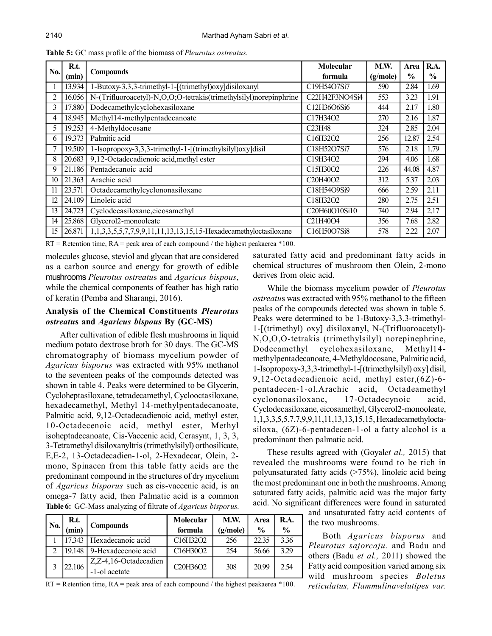|     | R.t.   |                                                                   | Molecular                                                        | M.W.       | Area          | R.A.          |
|-----|--------|-------------------------------------------------------------------|------------------------------------------------------------------|------------|---------------|---------------|
| No. | (min)  | <b>Compounds</b>                                                  | formula                                                          | (g/mole)   | $\frac{6}{9}$ | $\frac{6}{9}$ |
|     | 13.934 | 1-Butoxy-3,3,3-trimethyl-1-[(trimethyl)oxy]disiloxanyl            | C19H54O7Si7                                                      | 590        | 2.84          | 1.69          |
| 2   | 16.056 | N-(Trifluoroacetyl)-N,O,O;O-tetrakis(trimethylsilyl)norepinphrine | C22H42F3NO4Si4                                                   | 553        | 3.23          | 1.91          |
| 3   | 17.880 | Dodecamethylcyclohexasiloxane                                     | C12H36O6Si6                                                      | 444        | 2.17          | 1.80          |
| 4   | 18.945 | Methyl14-methylpentadecanoate                                     | C17H34O2                                                         | <b>270</b> | 2.16          | 1.87          |
| 5   | 19.253 | 4-Methyldocosane                                                  | C23H48                                                           | 324        | 2.85          | 2.04          |
| 6   | 19.373 | Palmitic acid                                                     | C16H32O2                                                         | 256        | 12.87         | 2.54          |
|     | 19.509 | 1-Isopropoxy-3,3,3-trimethyl-1-[(trimethylsilyl)oxy]disil         | C18H52O7Si7                                                      | 576        | 2.18          | 1.79          |
| 8   | 20.683 | 9,12-Octadecadienoic acid, methyl ester                           | C19H34O2                                                         | 294        | 4.06          | 1.68          |
| 9   | 21.186 | Pentadecanoic acid                                                | C15H30O2                                                         | 226        | 44.08         | 4.87          |
| 10  | 21.363 | Arachic acid                                                      | C20H40O2                                                         | 312        | 5.37          | 2.03          |
|     | 23.571 | Octadecamethylcyclononasiloxane                                   | C18H54O9Si9                                                      | 666        | 2.59          | 2.11          |
| 12  | 24.109 | Linoleic acid                                                     | C18H32O2                                                         | 280        | 2.75          | 2.51          |
| 13  | 24.723 | Cyclodecasiloxane, eicosamethyl                                   | C <sub>20</sub> H <sub>60</sub> O <sub>10</sub> S <sub>i10</sub> | 740        | 2.94          | 2.17          |
| 14  | 25.868 | Glycerol2-monooleate                                              | C21H40O4                                                         | 356        | 7.68          | 2.82          |
| 15  | 26.871 | 1,1,3,3,5,5,7,7,9,9,11,11,13,13,15,15-Hexadecamethyloctasiloxane  | C16H50O7Si8                                                      | 578        | 2.22          | 2.07          |

**Table 5:** GC mass profile of the biomass of *Pleurotus ostreatus.*

 $RT =$  Retention time,  $RA =$  peak area of each compound / the highest peakaerea  $*100$ .

molecules glucose, steviol and glycan that are considered as a carbon source and energy for growth of edible mushrooms *Pleurotus ostreatu*s and *Agaricus bispous*, while the chemical components of feather has high ratio of keratin (Pemba and Sharangi, 2016).

## **Analysis of the Chemical Constituents** *Pleurotus ostreatu***s and** *Agaricus bispous* **By (GC-MS)**

After cultivation of edible flesh mushrooms in liquid medium potato dextrose broth for 30 days. The GC-MS chromatography of biomass mycelium powder of *Agaricus bisporus* was extracted with 95% methanol to the seventeen peaks of the compounds detected was shown in table 4. Peaks were determined to be Glycerin, Cycloheptasiloxane, tetradecamethyl, Cyclooctasiloxane, hexadecamethyl, Methyl 14-methylpentadecanoate, Palmitic acid, 9,12-Octadecadienoic acid, methyl ester, 10-Octadecenoic acid, methyl ester, Methyl isoheptadecanoate, Cis-Vaccenic acid, Cerasynt, 1, 3, 3, 3-Tetramethyl disiloxanyltris (trimethylsilyl) orthosilicate, E,E-2, 13-Octadecadien-1-ol, 2-Hexadecar, Olein, 2 mono, Spinacen from this table fatty acids are the predominant compound in the structures of dry mycelium of *Agaricus bisporus* such as cis-vaccenic acid, is an omega-7 fatty acid, then Palmatic acid is a common **Table 6:** GC-Mass analyzing of filtrate of *Agaricus bisporus.*

|     | R.t.     |                                        | Molecular                                      | M.W.     | Area          | R.A.          |
|-----|----------|----------------------------------------|------------------------------------------------|----------|---------------|---------------|
| No. | (min)    | <b>Compounds</b>                       | formula                                        | (g/mole) | $\frac{0}{0}$ | $\frac{0}{0}$ |
|     | 17.343   | Hexadecanoic acid                      | C16H32O2                                       | 256      | 22.35         | 3.36          |
|     | $19.148$ | 9-Hexadecenoic acid                    | C16H30O2                                       | 254      | 56.66         | 3.29          |
|     | 22.106   | Z.Z-4,16-Octadecadien<br>-1-ol acetate | C <sub>20</sub> H <sub>36</sub> O <sub>2</sub> | 308      | 20.99         | 2.54          |

saturated fatty acid and predominant fatty acids in chemical structures of mushroom then Olein, 2-mono derives from oleic acid.

While the biomass mycelium powder of *Pleurotus ostreatu*s was extracted with 95% methanol to the fifteen peaks of the compounds detected was shown in table 5. Peaks were determined to be 1-Butoxy-3,3,3-trimethyl-1-[(trimethyl) oxy] disiloxanyl, N-(Trifluoroacetyl)- N,O,O,O-tetrakis (trimethylsilyl) norepinephrine, Dodecamethyl cyclohexasiloxane, Methyl14 methylpentadecanoate, 4-Methyldocosane, Palmitic acid, 1-Isopropoxy-3,3,3-trimethyl-1-[(trimethylsilyl) oxy] disil, 9,12-Octadecadienoic acid, methyl ester,(6Z)-6 pentadecen-1-ol,Arachic acid, Octadeamethyl cyclononasiloxanc, 17-Octadecynoic acid, Cyclodecasiloxane, eicosamethyl, Glycerol2-monooleate, 1,1,3,3,5,5,7,7,9,9,11,11,13,13,15,15, Hexadecamethyloctasiloxa, (6Z)-6-pentadecen-1-ol a fatty alcohol is a predominant then palmatic acid.

These results agreed with (Goyal*et al.,* 2015) that revealed the mushrooms were found to be rich in polyunsaturated fatty acids (>75%), linoleic acid being the most predominant one in both the mushrooms. Among saturated fatty acids, palmitic acid was the major fatty acid. No significant differences were found in saturated

and unsaturated fatty acid contents of the two mushrooms.

Both *Agaricus bisporus* and *Pleurotus sajorcaju*. and Badu and others (Badu *et al.,* 2011) showed the Fatty acid composition varied among six wild mushroom species *Boletus reticulatus, Flammulinavelutipes var.*

 $RT =$  Retention time,  $RA =$  peak area of each compound / the highest peakaerea \*100.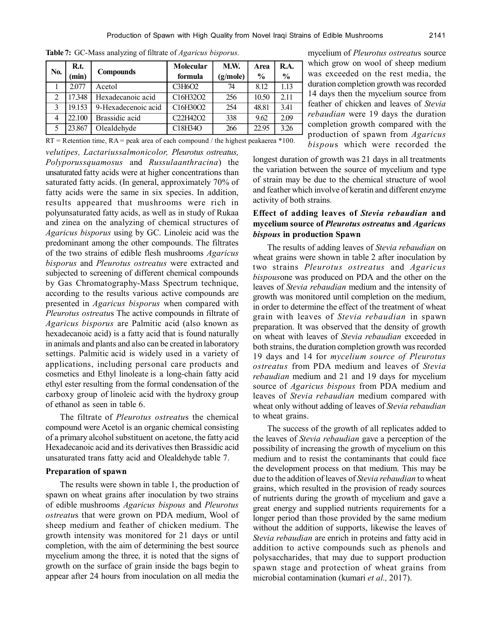| No.           | R.t.   | <b>Compounds</b>    | Molecular | M.W.     | Area          | <b>R.A.</b>   |
|---------------|--------|---------------------|-----------|----------|---------------|---------------|
|               | (min)  |                     | formula   | (g/mole) | $\frac{0}{0}$ | $\frac{0}{0}$ |
|               | 2.077  | Acetol              | C3H6O2    | 74       | 8.12          | 1.13          |
| 2             | 17.348 | Hexadecanoic acid   | C16H32O2  | 256      | 10.50         | 2.11          |
| $\mathcal{E}$ | 19.153 | 9-Hexadecenoic acid | C16H30O2  | 254      | 48.81         | 3.41          |
| 4             | 22.100 | Brassidic acid      | C22H42O2  | 338      | 9.62          | 2.09          |
| 5             | 23.867 | Olealdehyde         | C18H34O   | 266      | 22.95         | 3.26          |

**Table 7:** GC-Mass analyzing of filtrate of *Agaricus bisporus.*

*velutipes, Lactariussalmonicolor, Pleurotus ostreatus,*  $RT =$  Retention time,  $RA =$  peak area of each compound / the highest peakaerea \*100.

*Polyporussquamosus* and *Russulaanthracina*) the unsaturated fatty acids were at higher concentrations than saturated fatty acids. (In general, approximately 70% of fatty acids were the same in six species. In addition, results appeared that mushrooms were rich in polyunsaturated fatty acids, as well as in study of Rukaa and zinea on the analyzing of chemical structures of *Agaricus bisporus* using by GC. Linoleic acid was the predominant among the other compounds. The filtrates of the two strains of edible flesh mushrooms *Agaricus bisporus* and *Pleurotus ostreatus* were extracted and subjected to screening of different chemical compounds by Gas Chromatography-Mass Spectrum technique, according to the results various active compounds are presented in *Agaricus bisporus* when compared with *Pleurotus ostreatu*s The active compounds in filtrate of *Agaricus bisporus* are Palmitic acid (also known as hexadecanoic acid) is a fatty acid that is found naturally in animals and plants and also can be created in laboratory settings. Palmitic acid is widely used in a variety of applications, including personal care products and cosmetics and Ethyl linoleate is a long-chain fatty acid ethyl ester resulting from the formal condensation of the carboxy group of linoleic acid with the hydroxy group of ethanol as seen in table 6.

The filtrate of *Pleurotus ostreatu*s the chemical compound were Acetol is an organic chemical consisting of a primary alcohol substituent on acetone, the fatty acid Hexadecanoic acid and its derivatives then Brassidic acid unsaturated trans fatty acid and Olealdehyde table 7.

#### **Preparation of spawn**

The results were shown in table 1, the production of spawn on wheat grains after inoculation by two strains of edible mushrooms *Agaricus bispous* and *Pleurotus ostreatu*s that were grown on PDA medium, Wool of sheep medium and feather of chicken medium. The growth intensity was monitored for 21 days or until completion, with the aim of determining the best source mycelium among the three, it is noted that the signs of growth on the surface of grain inside the bags begin to appear after 24 hours from inoculation on all media the

mycelium of *Pleurotus ostreatu*s source which grow on wool of sheep medium was exceeded on the rest media, the duration completion growth was recorded 14 days then the mycelium source from feather of chicken and leaves of *Stevia rebaudian* were 19 days the duration completion growth compared with the production of spawn from *Agaricus bispou*s which were recorded the

longest duration of growth was 21 days in all treatments the variation between the source of mycelium and type of strain may be due to the chemical structure of wool and feather which involve of keratin and different enzyme activity of both strains*.*

# **Effect of adding leaves of** *Stevia rebaudian* **and mycelium source of** *Pleurotus ostreatus* **and** *Agaricus bispous* **in production Spawn**

The results of adding leaves of *Stevia rebaudian* on wheat grains were shown in table 2 after inoculation by two strains *Pleurotus ostreatus* and *Agaricus bispous*one was produced on PDA and the other on the leaves of *Stevia rebaudian* medium and the intensity of growth was monitored until completion on the medium, in order to determine the effect of the treatment of wheat grain with leaves of *Stevia rebaudian* in spawn preparation. It was observed that the density of growth on wheat with leaves of *Stevia rebaudian* exceeded in both strains, the duration completion growth was recorded 19 days and 14 for *mycelium source of Pleurotus ostreatus* from PDA medium and leaves of *Stevia rebaudian* medium and 21 and 19 days for mycelium source of *Agaricus bispous* from PDA medium and leaves of *Stevia rebaudian* medium compared with wheat only without adding of leaves of *Stevia rebaudian* to wheat grains.

The success of the growth of all replicates added to the leaves of *Stevia rebaudian* gave a perception of the possibility of increasing the growth of mycelium on this medium and to resist the contaminants that could face the development process on that medium. This may be due to the addition of leaves of *Stevia rebaudian* to wheat grains, which resulted in the provision of ready sources of nutrients during the growth of mycelium and gave a great energy and supplied nutrients requirements for a longer period than those provided by the same medium without the addition of supports, likewise the leaves of *Stevia rebaudian* are enrich in proteins and fatty acid in addition to active compounds such as phenols and polysaccharides, that may due to support production spawn stage and protection of wheat grains from microbial contamination (kumari *et al.,* 2017).